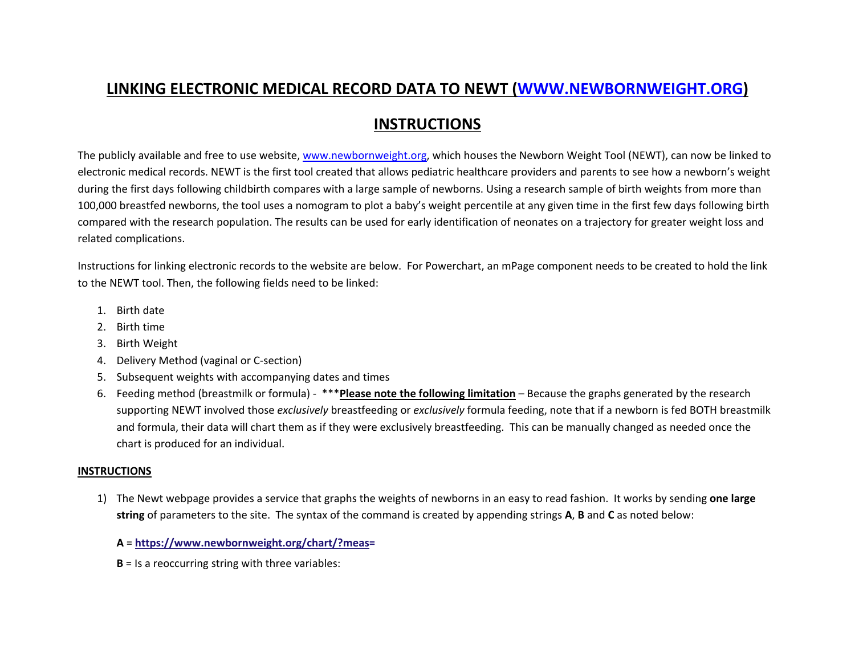# **LINKING ELECTRONIC MEDICAL RECORD DATA TO NEWT ([WWW.NEWBORNWEIGHT.ORG](http://WWW.NEWBORNWEIGHT.ORG))**

## **INSTRUCTIONS**

The publicly available and free to use website, [www.newbornweight.org](http://www.newbornweight.org), which houses the Newborn Weight Tool (NEWT), can now be linked to electronic medical records. NEWT is the first tool created that allows pediatric healthcare providers and parents to see how a newborn's weight during the first days following childbirth compares with a large sample of newborns. Using a research sample of birth weights from more than 100,000 breastfed newborns, the tool uses a nomogram to plot a baby's weight percentile at any given time in the first few days following birth compared with the research population. The results can be used for early identification of neonates on a trajectory for greater weight loss and related complications.

Instructions for linking electronic records to the website are below. For Powerchart, an mPage component needs to be created to hold the link to the NEWT tool. Then, the following fields need to be linked:

- 1. Birth date
- 2. Birth time
- 3. Birth Weight
- 4. Delivery Method (vaginal or C-section)
- 5. Subsequent weights with accompanying dates and times
- 6. Feeding method (breastmilk or formula) \*\*\***Please note the following limitation** Because the graphs generated by the research supporting NEWT involved those *exclusively* breastfeeding or *exclusively* formula feeding, note that if a newborn is fed BOTH breastmilk and formula, their data will chart them as if they were exclusively breastfeeding. This can be manually changed as needed once the chart is produced for an individual.

#### **INSTRUCTIONS**

1) The Newt webpage provides a service that graphs the weights of newborns in an easy to read fashion. It works by sending **one large string** of parameters to the site. The syntax of the command is created by appending strings **A**, **B** and **C** as noted below:

**A** = **<https://www.newbornweight.org/chart/?meas>=**

**B** = Is a reoccurring string with three variables: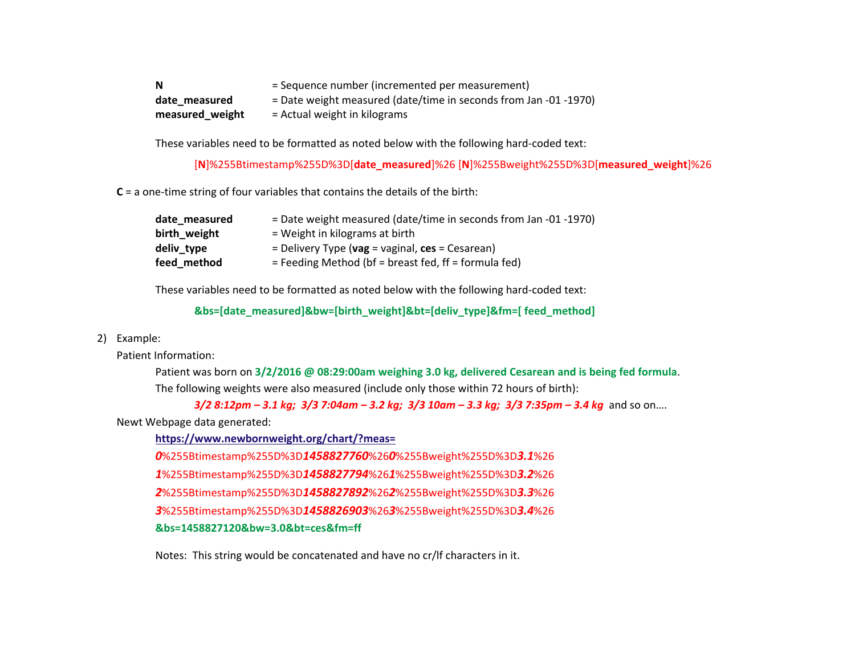**N**  $=$  Sequence number (incremented per measurement) date\_measured = Date weight measured (date/time in seconds from Jan -01 -1970) **measured\_weight** = Actual weight in kilograms

These variables need to be formatted as noted below with the following hard-coded text:

[**N**]%255Btimestamp%255D%3D[**date\_measured**]%26 [**N**]%255Bweight%255D%3D[**measured\_weight**]%26

**C** = a one-time string of four variables that contains the details of the birth:

| date measured | = Date weight measured (date/time in seconds from Jan -01 -1970)       |
|---------------|------------------------------------------------------------------------|
| birth weight  | $=$ Weight in kilograms at birth                                       |
| deliv type    | = Delivery Type ( $\mathbf{vag}$ = vaginal, $\mathbf{ces}$ = Cesarean) |
| feed_method   | $=$ Feeding Method (bf = breast fed, ff = formula fed)                 |

These variables need to be formatted as noted below with the following hard-coded text:

**&bs=[date\_measured]&bw=[birth\_weight]&bt=[deliv\_type]&fm=[ feed\_method]**

#### 2) Example:

Patient Information:

Patient was born on **3/2/2016 @ 08:29:00am weighing 3.0 kg, delivered Cesarean and is being fed formula**. The following weights were also measured (include only those within 72 hours of birth):

*3/2 8:12pm – 3.1 kg; 3/3 7:04am – 3.2 kg; 3/3 10am – 3.3 kg; 3/3 7:35pm – 3.4 kg* and so on….

Newt Webpage data generated:

**[https://www.newbornweight.org/chart/?meas=](https://www.newbornweight.org/chart/?meas)**

*0*%255Btimestamp%255D%3D*1458827760*%26*0*%255Bweight%255D%3D*3.1*%26

*1*%255Btimestamp%255D%3D*1458827794*%26*1*%255Bweight%255D%3D*3.2*%26

*2*%255Btimestamp%255D%3D*1458827892*%26*2*%255Bweight%255D%3D*3.3*%26

*3*%255Btimestamp%255D%3D*1458826903*%26*3*%255Bweight%255D%3D*3.4*%26

**&bs=1458827120&bw=3.0&bt=ces&fm=ff**

Notes: This string would be concatenated and have no cr/lf characters in it.